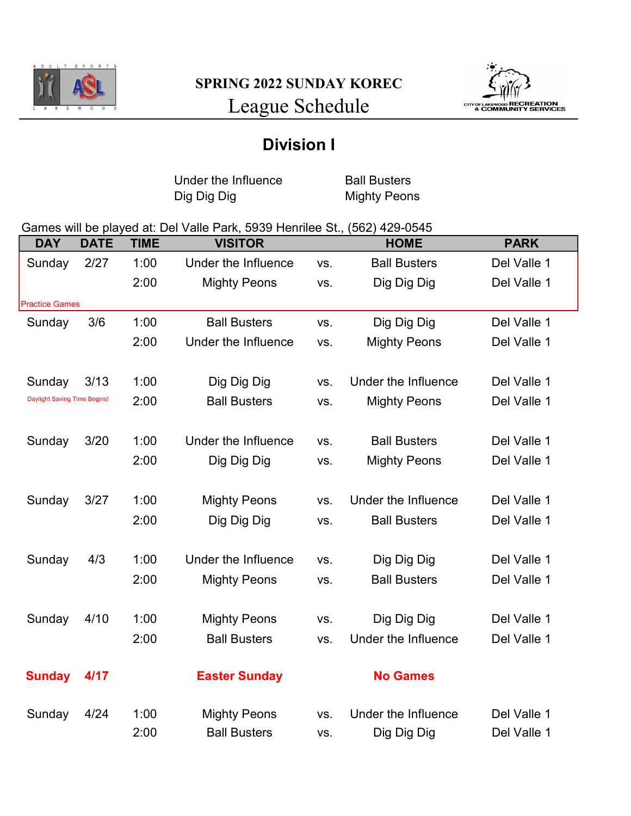



## Division I

Under the Influence Ball Busters<br>
Dig Dig Dig Buster Mighty Peon

**Mighty Peons** 

## Games will be played at: Del Valle Park, 5939 Henrilee St., (562) 429-0545

| <b>DAY</b>                          | <b>DATE</b> | <b>TIME</b> | <b>VISITOR</b>       |     | <b>HOME</b>         | <b>PARK</b> |
|-------------------------------------|-------------|-------------|----------------------|-----|---------------------|-------------|
| Sunday                              | 2/27        | 1:00        | Under the Influence  | VS. | <b>Ball Busters</b> | Del Valle 1 |
|                                     |             | 2:00        | <b>Mighty Peons</b>  | VS. | Dig Dig Dig         | Del Valle 1 |
| <b>Practice Games</b>               |             |             |                      |     |                     |             |
| Sunday                              | 3/6         | 1:00        | <b>Ball Busters</b>  | VS. | Dig Dig Dig         | Del Valle 1 |
|                                     |             | 2:00        | Under the Influence  | VS. | <b>Mighty Peons</b> | Del Valle 1 |
|                                     |             |             |                      |     |                     |             |
| Sunday                              | 3/13        | 1:00        | Dig Dig Dig          | VS. | Under the Influence | Del Valle 1 |
| <b>Daylight Saving Time Begins!</b> |             | 2:00        | <b>Ball Busters</b>  | VS. | <b>Mighty Peons</b> | Del Valle 1 |
|                                     |             |             |                      |     |                     |             |
| Sunday                              | 3/20        | 1:00        | Under the Influence  | VS. | <b>Ball Busters</b> | Del Valle 1 |
|                                     |             | 2:00        | Dig Dig Dig          | VS. | <b>Mighty Peons</b> | Del Valle 1 |
|                                     |             |             |                      |     |                     |             |
| Sunday                              | 3/27        | 1:00        | <b>Mighty Peons</b>  | VS. | Under the Influence | Del Valle 1 |
|                                     |             | 2:00        | Dig Dig Dig          | VS. | <b>Ball Busters</b> | Del Valle 1 |
|                                     |             |             |                      |     |                     |             |
| Sunday                              | 4/3         | 1:00        | Under the Influence  | VS. | Dig Dig Dig         | Del Valle 1 |
|                                     |             | 2:00        | <b>Mighty Peons</b>  | VS. | <b>Ball Busters</b> | Del Valle 1 |
|                                     |             |             |                      |     |                     |             |
| Sunday                              | 4/10        | 1:00        | <b>Mighty Peons</b>  | VS. | Dig Dig Dig         | Del Valle 1 |
|                                     |             | 2:00        | <b>Ball Busters</b>  | VS. | Under the Influence | Del Valle 1 |
|                                     |             |             |                      |     |                     |             |
| <b>Sunday</b>                       | 4/17        |             | <b>Easter Sunday</b> |     | <b>No Games</b>     |             |
|                                     |             |             |                      |     |                     |             |
| Sunday                              | 4/24        | 1:00        | <b>Mighty Peons</b>  | VS. | Under the Influence | Del Valle 1 |
|                                     |             | 2:00        | <b>Ball Busters</b>  | VS. | Dig Dig Dig         | Del Valle 1 |